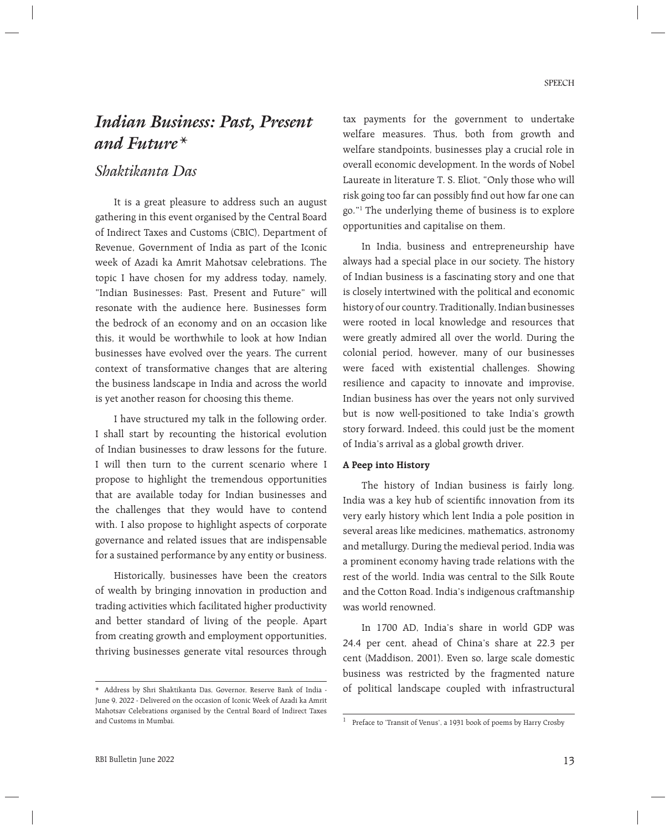# *Indian Business: Past, Present and Future\**

# *Shaktikanta Das*

 It is a great pleasure to address such an august gathering in this event organised by the Central Board of Indirect Taxes and Customs (CBIC), Department of Revenue, Government of India as part of the Iconic week of Azadi ka Amrit Mahotsav celebrations. The topic I have chosen for my address today, namely, "Indian Businesses: Past, Present and Future" will resonate with the audience here. Businesses form the bedrock of an economy and on an occasion like this, it would be worthwhile to look at how Indian businesses have evolved over the years. The current context of transformative changes that are altering the business landscape in India and across the world is yet another reason for choosing this theme.

 I have structured my talk in the following order. I shall start by recounting the historical evolution of Indian businesses to draw lessons for the future. I will then turn to the current scenario where I propose to highlight the tremendous opportunities that are available today for Indian businesses and the challenges that they would have to contend with. I also propose to highlight aspects of corporate governance and related issues that are indispensable for a sustained performance by any entity or business.

 Historically, businesses have been the creators of wealth by bringing innovation in production and trading activities which facilitated higher productivity and better standard of living of the people. Apart from creating growth and employment opportunities, thriving businesses generate vital resources through

tax payments for the government to undertake welfare measures. Thus, both from growth and welfare standpoints, businesses play a crucial role in overall economic development. In the words of Nobel Laureate in literature T. S. Eliot, "Only those who will risk going too far can possibly find out how far one can go."1 The underlying theme of business is to explore opportunities and capitalise on them.

 In India, business and entrepreneurship have always had a special place in our society. The history of Indian business is a fascinating story and one that is closely intertwined with the political and economic history of our country. Traditionally, Indian businesses were rooted in local knowledge and resources that were greatly admired all over the world. During the colonial period, however, many of our businesses were faced with existential challenges. Showing resilience and capacity to innovate and improvise, Indian business has over the years not only survived but is now well-positioned to take India's growth story forward. Indeed, this could just be the moment of India's arrival as a global growth driver.

### **A Peep into History**

 The history of Indian business is fairly long. India was a key hub of scientific innovation from its very early history which lent India a pole position in several areas like medicines, mathematics, astronomy and metallurgy. During the medieval period, India was a prominent economy having trade relations with the rest of the world. India was central to the Silk Route and the Cotton Road. India's indigenous craftmanship was world renowned.

 In 1700 AD, India's share in world GDP was 24.4 per cent, ahead of China's share at 22.3 per cent (Maddison, 2001). Even so, large scale domestic business was restricted by the fragmented nature of political landscape coupled with infrastructural

<sup>\*</sup> Address by Shri Shaktikanta Das, Governor, Reserve Bank of India - June 9, 2022 - Delivered on the occasion of Iconic Week of Azadi ka Amrit Mahotsav Celebrations organised by the Central Board of Indirect Taxes and Customs in Mumbai. 1 Preface to 'Transit of Venus', a 1931 book of poems by Harry Crosby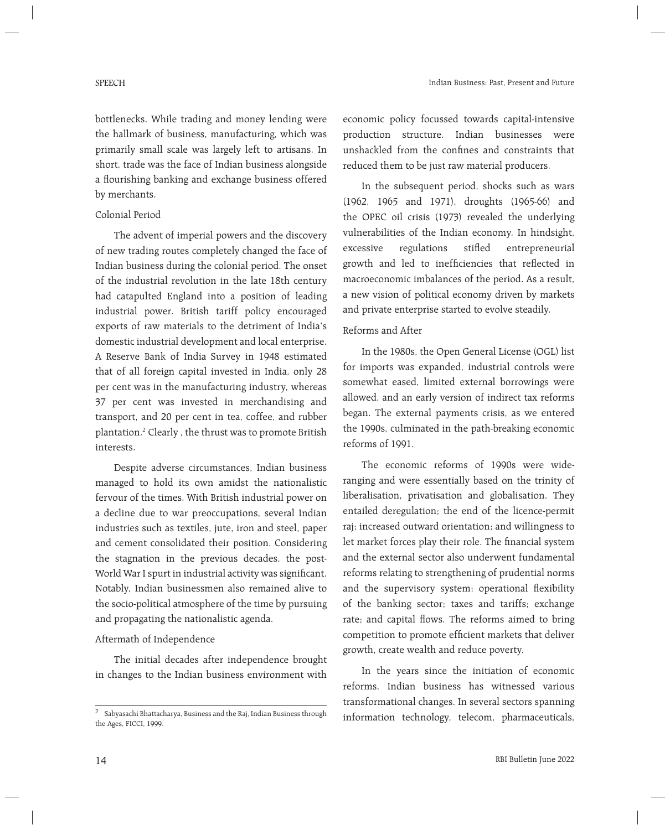bottlenecks. While trading and money lending were the hallmark of business, manufacturing, which was primarily small scale was largely left to artisans. In short, trade was the face of Indian business alongside a flourishing banking and exchange business offered by merchants.

## Colonial Period

 The advent of imperial powers and the discovery of new trading routes completely changed the face of Indian business during the colonial period. The onset of the industrial revolution in the late 18th century had catapulted England into a position of leading industrial power. British tariff policy encouraged exports of raw materials to the detriment of India's domestic industrial development and local enterprise. A Reserve Bank of India Survey in 1948 estimated that of all foreign capital invested in India, only 28 per cent was in the manufacturing industry, whereas 37 per cent was invested in merchandising and transport, and 20 per cent in tea, coffee, and rubber plantation.2 Clearly , the thrust was to promote British interests.

 Despite adverse circumstances, Indian business managed to hold its own amidst the nationalistic fervour of the times. With British industrial power on a decline due to war preoccupations, several Indian industries such as textiles, jute, iron and steel, paper and cement consolidated their position. Considering the stagnation in the previous decades, the post-World War I spurt in industrial activity was significant. Notably, Indian businessmen also remained alive to the socio-political atmosphere of the time by pursuing and propagating the nationalistic agenda.

### Aftermath of Independence

 The initial decades after independence brought in changes to the Indian business environment with

economic policy focussed towards capital-intensive production structure. Indian businesses were unshackled from the confines and constraints that reduced them to be just raw material producers.

 In the subsequent period, shocks such as wars (1962, 1965 and 1971), droughts (1965-66) and the OPEC oil crisis (1973) revealed the underlying vulnerabilities of the Indian economy. In hindsight, excessive regulations stifled entrepreneurial growth and led to inefficiencies that reflected in macroeconomic imbalances of the period. As a result, a new vision of political economy driven by markets and private enterprise started to evolve steadily.

# Reforms and After

 In the 1980s, the Open General License (OGL) list for imports was expanded, industrial controls were somewhat eased, limited external borrowings were allowed, and an early version of indirect tax reforms began. The external payments crisis, as we entered the 1990s, culminated in the path-breaking economic reforms of 1991.

 The economic reforms of 1990s were wideranging and were essentially based on the trinity of liberalisation, privatisation and globalisation. They entailed deregulation; the end of the licence-permit raj; increased outward orientation; and willingness to let market forces play their role. The financial system and the external sector also underwent fundamental reforms relating to strengthening of prudential norms and the supervisory system; operational flexibility of the banking sector; taxes and tariffs; exchange rate; and capital flows. The reforms aimed to bring competition to promote efficient markets that deliver growth, create wealth and reduce poverty.

 In the years since the initiation of economic reforms, Indian business has witnessed various transformational changes. In several sectors spanning <sup>2</sup> Sabyasachi Bhattacharya, Business and the Raj, Indian Business through information technology, telecom, pharmaceuticals,

the Ages, FICCI, 1999.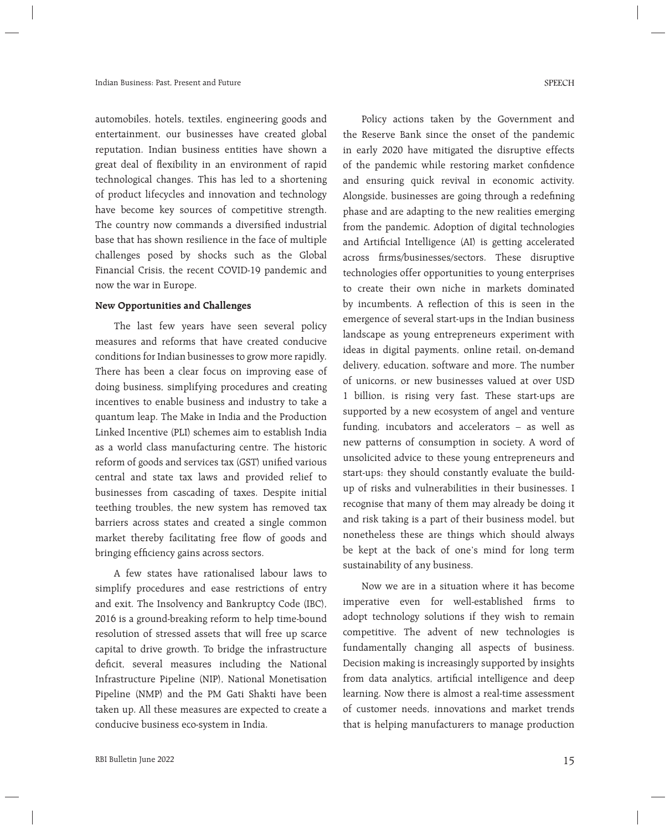automobiles, hotels, textiles, engineering goods and entertainment, our businesses have created global reputation. Indian business entities have shown a great deal of flexibility in an environment of rapid technological changes. This has led to a shortening of product lifecycles and innovation and technology have become key sources of competitive strength. The country now commands a diversified industrial base that has shown resilience in the face of multiple challenges posed by shocks such as the Global Financial Crisis, the recent COVID-19 pandemic and now the war in Europe.

#### **New Opportunities and Challenges**

 The last few years have seen several policy measures and reforms that have created conducive conditions for Indian businesses to grow more rapidly. There has been a clear focus on improving ease of doing business, simplifying procedures and creating incentives to enable business and industry to take a quantum leap. The Make in India and the Production Linked Incentive (PLI) schemes aim to establish India as a world class manufacturing centre. The historic reform of goods and services tax (GST) unified various central and state tax laws and provided relief to businesses from cascading of taxes. Despite initial teething troubles, the new system has removed tax barriers across states and created a single common market thereby facilitating free flow of goods and bringing efficiency gains across sectors.

 A few states have rationalised labour laws to simplify procedures and ease restrictions of entry and exit. The Insolvency and Bankruptcy Code (IBC), 2016 is a ground-breaking reform to help time-bound resolution of stressed assets that will free up scarce capital to drive growth. To bridge the infrastructure deficit, several measures including the National Infrastructure Pipeline (NIP), National Monetisation Pipeline (NMP) and the PM Gati Shakti have been taken up. All these measures are expected to create a conducive business eco-system in India.

 Policy actions taken by the Government and the Reserve Bank since the onset of the pandemic in early 2020 have mitigated the disruptive effects of the pandemic while restoring market confidence and ensuring quick revival in economic activity. Alongside, businesses are going through a redefining phase and are adapting to the new realities emerging from the pandemic. Adoption of digital technologies and Artificial Intelligence (AI) is getting accelerated across firms/businesses/sectors. These disruptive technologies offer opportunities to young enterprises to create their own niche in markets dominated by incumbents. A reflection of this is seen in the emergence of several start-ups in the Indian business landscape as young entrepreneurs experiment with ideas in digital payments, online retail, on-demand delivery, education, software and more. The number of unicorns, or new businesses valued at over USD 1 billion, is rising very fast. These start-ups are supported by a new ecosystem of angel and venture funding, incubators and accelerators – as well as new patterns of consumption in society. A word of unsolicited advice to these young entrepreneurs and start-ups: they should constantly evaluate the buildup of risks and vulnerabilities in their businesses. I recognise that many of them may already be doing it and risk taking is a part of their business model, but nonetheless these are things which should always be kept at the back of one's mind for long term sustainability of any business.

 Now we are in a situation where it has become imperative even for well-established firms to adopt technology solutions if they wish to remain competitive. The advent of new technologies is fundamentally changing all aspects of business. Decision making is increasingly supported by insights from data analytics, artificial intelligence and deep learning. Now there is almost a real-time assessment of customer needs, innovations and market trends that is helping manufacturers to manage production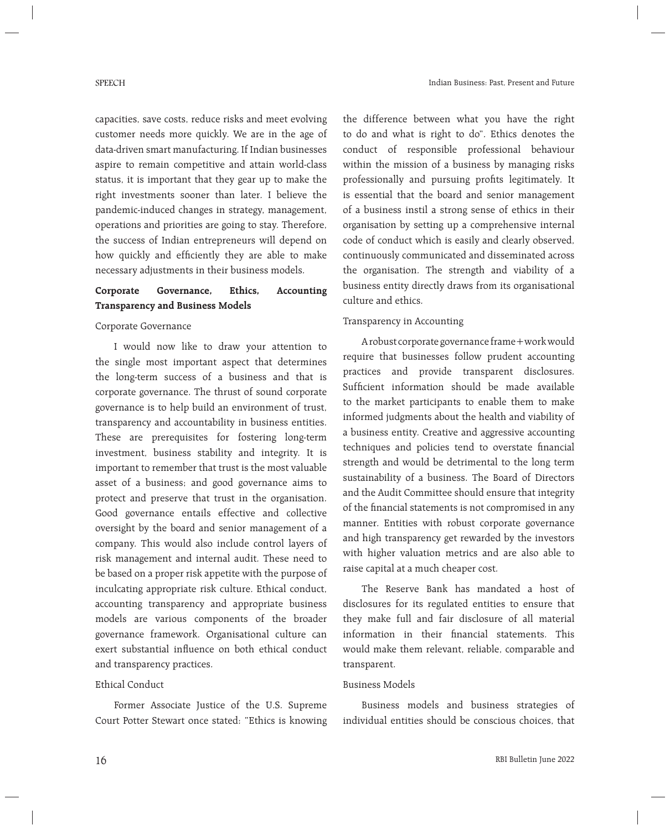capacities, save costs, reduce risks and meet evolving customer needs more quickly. We are in the age of data-driven smart manufacturing. If Indian businesses aspire to remain competitive and attain world-class status, it is important that they gear up to make the right investments sooner than later. I believe the pandemic-induced changes in strategy, management, operations and priorities are going to stay. Therefore, the success of Indian entrepreneurs will depend on how quickly and efficiently they are able to make necessary adjustments in their business models.

# **Corporate Governance, Ethics, Accounting Transparency and Business Models**

#### Corporate Governance

 I would now like to draw your attention to the single most important aspect that determines the long-term success of a business and that is corporate governance. The thrust of sound corporate governance is to help build an environment of trust, transparency and accountability in business entities. These are prerequisites for fostering long-term investment, business stability and integrity. It is important to remember that trust is the most valuable asset of a business; and good governance aims to protect and preserve that trust in the organisation. Good governance entails effective and collective oversight by the board and senior management of a company. This would also include control layers of risk management and internal audit. These need to be based on a proper risk appetite with the purpose of inculcating appropriate risk culture. Ethical conduct, accounting transparency and appropriate business models are various components of the broader governance framework. Organisational culture can exert substantial influence on both ethical conduct and transparency practices.

### Ethical Conduct

 Former Associate Justice of the U.S. Supreme Court Potter Stewart once stated: "Ethics is knowing the difference between what you have the right to do and what is right to do". Ethics denotes the conduct of responsible professional behaviour within the mission of a business by managing risks professionally and pursuing profits legitimately. It is essential that the board and senior management of a business instil a strong sense of ethics in their organisation by setting up a comprehensive internal code of conduct which is easily and clearly observed, continuously communicated and disseminated across the organisation. The strength and viability of a business entity directly draws from its organisational culture and ethics.

### Transparency in Accounting

 A robust corporate governance frame+work would require that businesses follow prudent accounting practices and provide transparent disclosures. Sufficient information should be made available to the market participants to enable them to make informed judgments about the health and viability of a business entity. Creative and aggressive accounting techniques and policies tend to overstate financial strength and would be detrimental to the long term sustainability of a business. The Board of Directors and the Audit Committee should ensure that integrity of the financial statements is not compromised in any manner. Entities with robust corporate governance and high transparency get rewarded by the investors with higher valuation metrics and are also able to raise capital at a much cheaper cost.

 The Reserve Bank has mandated a host of disclosures for its regulated entities to ensure that they make full and fair disclosure of all material information in their financial statements. This would make them relevant, reliable, comparable and transparent.

### Business Models

 Business models and business strategies of individual entities should be conscious choices, that